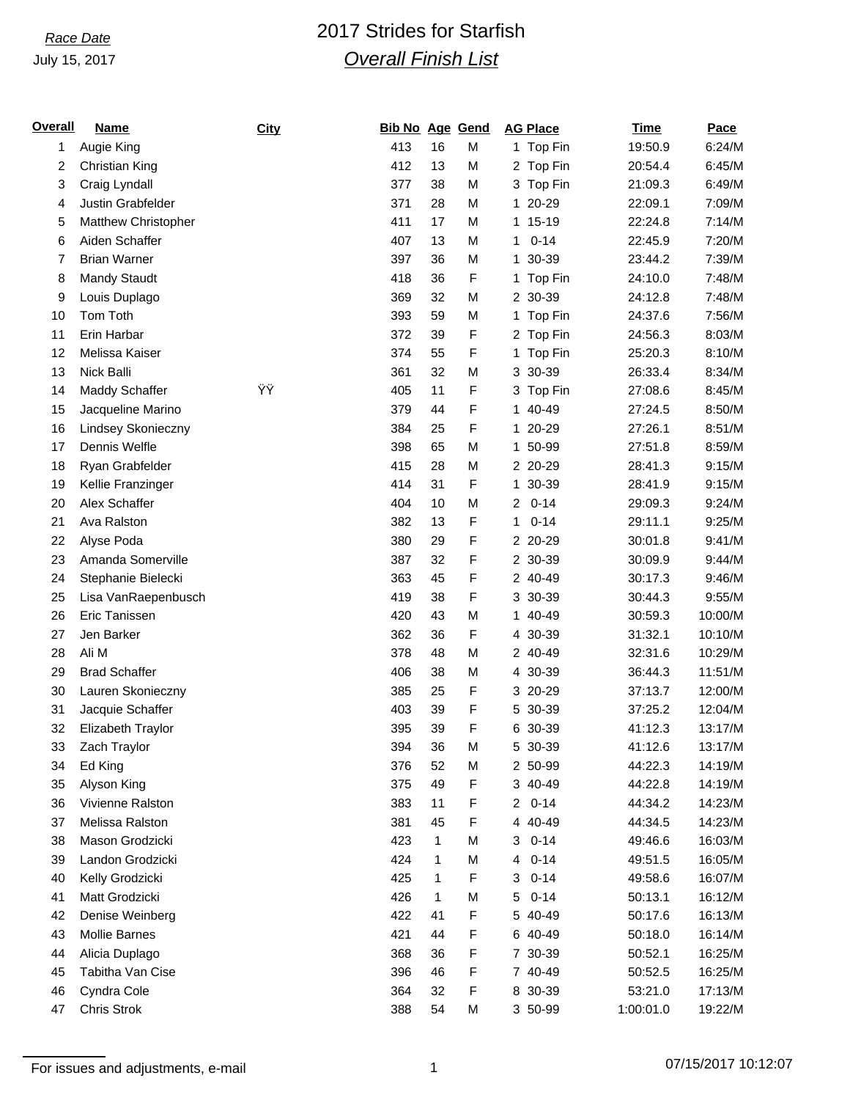### July 15, 2017

# *Race Date* 2017 Strides for Starfish *Overall Finish List*

| <u>Overall</u> | <b>Name</b>          | City | <b>Bib No Age Gend</b> |    |   | <b>AG Place</b>            | <b>Time</b> | Pace    |
|----------------|----------------------|------|------------------------|----|---|----------------------------|-------------|---------|
| 1              | Augie King           |      | 413                    | 16 | M | 1 Top Fin                  | 19:50.9     | 6:24/M  |
| 2              | Christian King       |      | 412                    | 13 | M | 2 Top Fin                  | 20:54.4     | 6:45/M  |
| 3              | Craig Lyndall        |      | 377                    | 38 | M | 3 Top Fin                  | 21:09.3     | 6:49/M  |
| 4              | Justin Grabfelder    |      | 371                    | 28 | M | 1 20-29                    | 22:09.1     | 7:09/M  |
| 5              | Matthew Christopher  |      | 411                    | 17 | M | 1 15-19                    | 22:24.8     | 7:14/M  |
| 6              | Aiden Schaffer       |      | 407                    | 13 | M | $0 - 14$<br>1              | 22:45.9     | 7:20/M  |
| 7              | <b>Brian Warner</b>  |      | 397                    | 36 | M | 1 30-39                    | 23:44.2     | 7:39/M  |
| 8              | Mandy Staudt         |      | 418                    | 36 | F | 1 Top Fin                  | 24:10.0     | 7:48/M  |
| 9              | Louis Duplago        |      | 369                    | 32 | M | 2 30-39                    | 24:12.8     | 7:48/M  |
| 10             | Tom Toth             |      | 393                    | 59 | M | 1 Top Fin                  | 24:37.6     | 7:56/M  |
| 11             | Erin Harbar          |      | 372                    | 39 | F | 2 Top Fin                  | 24:56.3     | 8:03/M  |
| 12             | Melissa Kaiser       |      | 374                    | 55 | F | 1 Top Fin                  | 25:20.3     | 8:10/M  |
| 13             | Nick Balli           |      | 361                    | 32 | M | 3 30-39                    | 26:33.4     | 8:34/M  |
| 14             | Maddy Schaffer       | Ϋ́Ÿ  | 405                    | 11 | F | 3 Top Fin                  | 27:08.6     | 8:45/M  |
| 15             | Jacqueline Marino    |      | 379                    | 44 | F | 1 40-49                    | 27:24.5     | 8:50/M  |
| 16             | Lindsey Skonieczny   |      | 384                    | 25 | F | 1 20-29                    | 27:26.1     | 8:51/M  |
| 17             | Dennis Welfle        |      | 398                    | 65 | M | 1 50-99                    | 27:51.8     | 8:59/M  |
| 18             | Ryan Grabfelder      |      | 415                    | 28 | M | 2 20-29                    | 28:41.3     | 9:15/M  |
| 19             | Kellie Franzinger    |      | 414                    | 31 | F | 1 30-39                    | 28:41.9     | 9:15/M  |
| 20             | Alex Schaffer        |      | 404                    | 10 | M | $0 - 14$<br>$\overline{2}$ | 29:09.3     | 9:24/M  |
| 21             | Ava Ralston          |      | 382                    | 13 | F | $0 - 14$<br>1              | 29:11.1     | 9:25/M  |
| 22             | Alyse Poda           |      | 380                    | 29 | F | 2 20-29                    | 30:01.8     | 9:41/M  |
| 23             | Amanda Somerville    |      | 387                    | 32 | F | 2 30-39                    | 30:09.9     | 9:44/M  |
| 24             | Stephanie Bielecki   |      | 363                    | 45 | F | 2 40-49                    | 30:17.3     | 9:46/M  |
| 25             | Lisa VanRaepenbusch  |      | 419                    | 38 | F | 3 30-39                    | 30:44.3     | 9:55/M  |
| 26             | Eric Tanissen        |      | 420                    | 43 | M | 1 40-49                    | 30:59.3     | 10:00/M |
| 27             | Jen Barker           |      | 362                    | 36 | F | 4 30-39                    | 31:32.1     | 10:10/M |
| 28             | Ali M                |      | 378                    | 48 | M | 2 40-49                    | 32:31.6     | 10:29/M |
| 29             | <b>Brad Schaffer</b> |      | 406                    | 38 | M | 4 30-39                    | 36:44.3     | 11:51/M |
| 30             | Lauren Skonieczny    |      | 385                    | 25 | F | 3 20-29                    | 37:13.7     | 12:00/M |
| 31             | Jacquie Schaffer     |      | 403                    | 39 | F | 5 30-39                    | 37:25.2     | 12:04/M |
| 32             | Elizabeth Traylor    |      | 395                    | 39 | F | 6 30-39                    | 41:12.3     | 13:17/M |
| 33             | Zach Traylor         |      | 394                    | 36 | M | 5 30-39                    | 41:12.6     | 13:17/M |
| 34             | Ed King              |      | 376                    | 52 | M | 2 50-99                    | 44:22.3     | 14:19/M |
| 35             | Alyson King          |      | 375                    | 49 | F | 3 40-49                    | 44:22.8     | 14:19/M |
| 36             | Vivienne Ralston     |      | 383                    | 11 | F | $\overline{2}$<br>$0 - 14$ | 44:34.2     | 14:23/M |
| 37             | Melissa Ralston      |      | 381                    | 45 | F | 4 40-49                    | 44:34.5     | 14:23/M |
| 38             | Mason Grodzicki      |      | 423                    | 1  | M | $0 - 14$<br>3              | 49:46.6     | 16:03/M |
| 39             | Landon Grodzicki     |      | 424                    | 1  | M | $0 - 14$<br>4              | 49:51.5     | 16:05/M |
| 40             | Kelly Grodzicki      |      | 425                    | 1  | F | $0 - 14$<br>3              | 49:58.6     | 16:07/M |
| 41             | Matt Grodzicki       |      | 426                    | 1  | M | 5<br>$0 - 14$              | 50:13.1     | 16:12/M |
| 42             | Denise Weinberg      |      | 422                    | 41 | F | 5 40-49                    | 50:17.6     | 16:13/M |
| 43             | Mollie Barnes        |      | 421                    | 44 | F | 6 40-49                    | 50:18.0     | 16:14/M |
| 44             | Alicia Duplago       |      | 368                    | 36 | F | 7 30-39                    | 50:52.1     | 16:25/M |
| 45             | Tabitha Van Cise     |      | 396                    | 46 | F | 7 40-49                    | 50:52.5     | 16:25/M |
| 46             | Cyndra Cole          |      | 364                    | 32 | F | 8 30-39                    | 53:21.0     | 17:13/M |
| 47             | Chris Strok          |      | 388                    | 54 | М | 3 50-99                    | 1:00:01.0   | 19:22/M |

For issues and adjustments, e-mail 1 07/15/2017 10:12:07